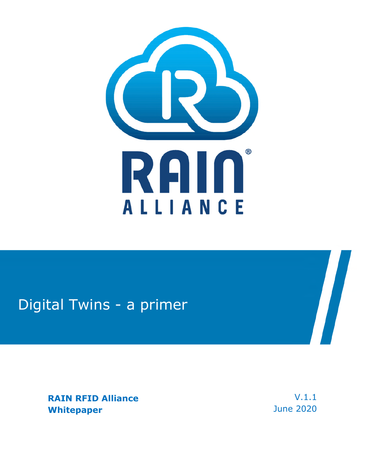

## Digital Twins - a primer

**RAIN RFID Alliance Whitepaper** 

V.1.1 June 2020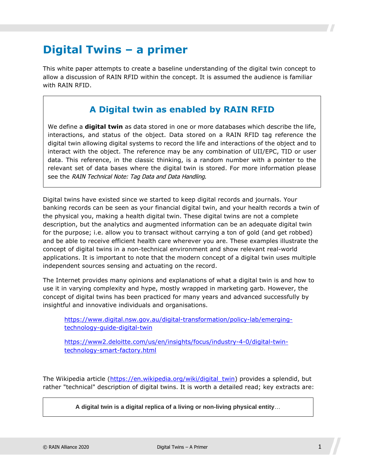## **Digital Twins – a primer**

This white paper attempts to create a baseline understanding of the digital twin concept to allow a discussion of RAIN RFID within the concept. It is assumed the audience is familiar with RAIN RFID.

#### **A Digital twin as enabled by RAIN RFID**

We define a **digital twin** as data stored in one or more databases which describe the life, interactions, and status of the object. Data stored on a RAIN RFID tag reference the digital twin allowing digital systems to record the life and interactions of the object and to interact with the object. The reference may be any combination of UII/EPC, TID or user data. This reference, in the classic thinking, is a random number with a pointer to the relevant set of data bases where the digital twin is stored. For more information please see the RAIN Technical Note: Tag Data and Data Handling.

Digital twins have existed since we started to keep digital records and journals. Your banking records can be seen as your financial digital twin, and your health records a twin of the physical you, making a health digital twin. These digital twins are not a complete description, but the analytics and augmented information can be an adequate digital twin for the purpose; i.e. allow you to transact without carrying a ton of gold (and get robbed) and be able to receive efficient health care wherever you are. These examples illustrate the concept of digital twins in a non-technical environment and show relevant real-world applications. It is important to note that the modern concept of a digital twin uses multiple independent sources sensing and actuating on the record.

The Internet provides many opinions and explanations of what a digital twin is and how to use it in varying complexity and hype, mostly wrapped in marketing garb. However, the concept of digital twins has been practiced for many years and advanced successfully by insightful and innovative individuals and organisations.

[https://www.digital.nsw.gov.au/digital-transformation/policy-lab/emerging](https://www.digital.nsw.gov.au/digital-transformation/policy-lab/emerging-technology-guide-digital-twin)[technology-guide-digital-twin](https://www.digital.nsw.gov.au/digital-transformation/policy-lab/emerging-technology-guide-digital-twin)

[https://www2.deloitte.com/us/en/insights/focus/industry-4-0/digital-twin](https://www2.deloitte.com/us/en/insights/focus/industry-4-0/digital-twin-technology-smart-factory.html)[technology-smart-factory.html](https://www2.deloitte.com/us/en/insights/focus/industry-4-0/digital-twin-technology-smart-factory.html)

The Wikipedia article ([https://en.wikipedia.org/wiki/digital\\_twin\)](https://en.wikipedia.org/wiki/Digital_twin) provides a splendid, but rather "technical" description of digital twins. It is worth a detailed read; key extracts are:

**A digital twin is a digital replica of a living or non-living physical entity**…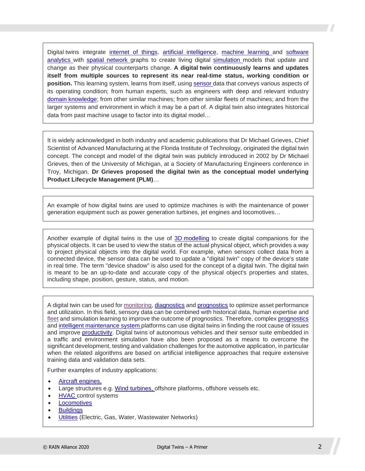Digital twins integrate [internet of things](https://en.wikipedia.org/wiki/Internet_of_things), [artificial intelligence](https://en.wikipedia.org/wiki/Artificial_intelligence), [machine learning](https://en.wikipedia.org/wiki/Machine_learning) and software [analytics with spatial network graphs to create living digital simulation models that update and](https://en.wikipedia.org/wiki/Software_analytics)  change as their physical counterparts change. **A digital twin continuously learns and updates itself from multiple sources to represent its near real-time status, working condition or position.** This learning system, learns from itself, using [sensor](https://en.wikipedia.org/wiki/Sensor) data that conveys various aspects of its operating condition; from human experts, such as engineers with deep and relevant industry [domain knowledge;](https://en.wikipedia.org/wiki/Domain_knowledge) from other similar machines; from other similar fleets of machines; and from the larger systems and environment in which it may be a part of. A digital twin also integrates historical data from past machine usage to factor into its digital model…

It is widely acknowledged in both industry and academic publications that Dr Michael Grieves, Chief Scientist of Advanced Manufacturing at the Florida Institute of Technology, originated the digital twin concept. The concept and model of the digital twin was publicly introduced in 2002 by Dr Michael Grieves, then of the University of Michigan, at a Society of Manufacturing Engineers conference in Troy, Michigan. **Dr Grieves proposed the digital twin as the conceptual model underlying Product Lifecycle Management (PLM)**…

An example of how digital twins are used to optimize machines is with the maintenance of power generation equipment such as power generation turbines, jet engines and locomotives…

Another example of digital twins is the use of [3D modelling](https://en.wikipedia.org/wiki/3D_modeling) to create digital companions for the physical objects. It can be used to view the status of the actual physical object, which provides a way to project physical objects into the digital world. For example, when sensors collect data from a connected device, the sensor data can be used to update a "digital twin" copy of the device's state in real time. The term "device shadow" is also used for the concept of a digital twin. The digital twin is meant to be an up-to-date and accurate copy of the physical object's properties and states, including shape, position, gesture, status, and motion.

A digital twin can be used for [monitoring](https://en.wiktionary.org/wiki/monitoring), [diagnostics](https://en.wikipedia.org/wiki/Diagnostics) and [prognostics](https://en.wikipedia.org/wiki/Prognostics) to optimize asset performance and utilization. In this field, sensory data can be combined with historical data, human expertise and [fleet](https://en.wiktionary.org/wiki/fleet) and simulation learning to improve the outcome of prognostics. Therefore, complex [prognostics](https://en.wikipedia.org/wiki/Prognostics) and [intelligent maintenance system](https://en.wikipedia.org/wiki/Intelligent_maintenance_system) platforms can use digital twins in finding the root cause of issues and improve [productivity](https://en.wikipedia.org/wiki/Productivity). Digital twins of autonomous vehicles and their sensor suite embedded in a traffic and environment simulation have also been proposed as a means to overcome the significant development, testing and validation challenges for the automotive application, in particular when the related algorithms are based on artificial intelligence approaches that require extensive training data and validation data sets.

Further examples of industry applications:

- [Aircraft engines,](https://en.wikipedia.org/wiki/Aircraft_engines)
- Large structures e.g. [Wind turbines](https://en.wikipedia.org/wiki/Wind_turbine), offshore platforms, offshore vessels etc.
- [HVAC](https://en.wikipedia.org/wiki/HVAC) control systems
- [Locomotives](https://en.wikipedia.org/wiki/Locomotive)
- **[Buildings](https://en.wikipedia.org/wiki/Building)**
- [Utilities](https://en.wikipedia.org/wiki/Utilities) (Electric, Gas, Water, Wastewater Networks)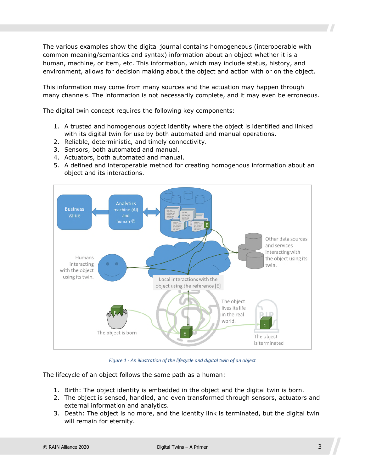The various examples show the digital journal contains homogeneous (interoperable with common meaning/semantics and syntax) information about an object whether it is a human, machine, or item, etc. This information, which may include status, history, and environment, allows for decision making about the object and action with or on the object.

This information may come from many sources and the actuation may happen through many channels. The information is not necessarily complete, and it may even be erroneous.

The digital twin concept requires the following key components:

- 1. A trusted and homogenous object identity where the object is identified and linked with its digital twin for use by both automated and manual operations.
- 2. Reliable, deterministic, and timely connectivity.
- 3. Sensors, both automated and manual.
- 4. Actuators, both automated and manual.
- 5. A defined and interoperable method for creating homogenous information about an object and its interactions.



*Figure 1 - An illustration of the lifecycle and digital twin of an object* 

The lifecycle of an object follows the same path as a human:

- 1. Birth: The object identity is embedded in the object and the digital twin is born.
- 2. The object is sensed, handled, and even transformed through sensors, actuators and external information and analytics.
- 3. Death: The object is no more, and the identity link is terminated, but the digital twin will remain for eternity.